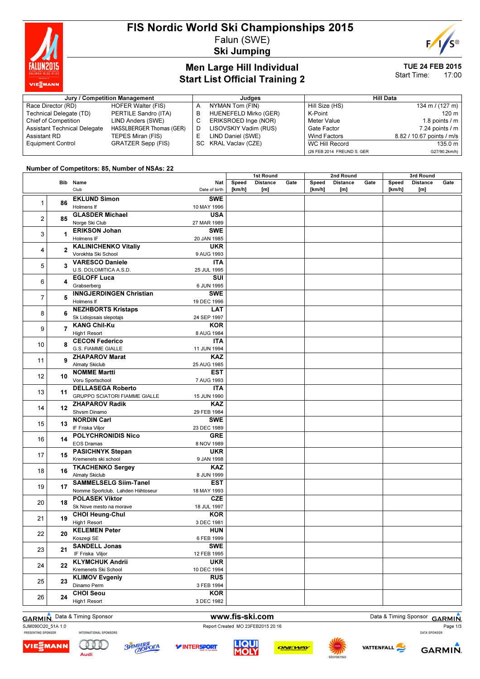

#### FIS Nordic World Ski Championships 2015 Falun (SWE)

Ski Jumping



#### Men Large Hill Individual Start List Official Training 2

#### TUE 24 FEB 2015 Start Time: 17:00

3rd Round

#### Jury / Competition Management de Late and Sudges and Hill Data Race Director (RD) HOFER Walter (FIS)<br>Technical Delegate (TD) PERTILE Sandro (ITA) Technical Delegate (TD)<br>Chief of Competition LIND Anders (SWE) Assistant Technical Delegate HASSLBERGER Thomas (GER)<br>Assistant RD TEPES Miran (FIS) TEPES Miran (FIS) Equipment Control GRATZER Sepp (FIS) A NYMAN Tom (FIN)<br>B HUENEFELD Mirko HUENEFELD Mirko (GER) C ERIKSROED Inge (NOR) D LISOVSKIY Vadim (RUS)<br>E LIND Daniel (SWE) LIND Daniel (SWE) SC KRAL Vaclav (CZE) Hill Size (HS) 134 m / (127 m) K-Point 120 m Meter Value 1.8 points / m Gate Factor 7.24 points / m<br>Wind Factors 8.82 / 10.67 points / m/s 8.82 / 10.67 points / m/s WC Hill Record 135.0 m (26 FEB 2014 FREUND S. GER G27/90.2km/h)

 $1<sub>0</sub>$ 

2nd Round

#### Number of Competitors: 85, Number of NSAs: 22

|                |                | Bib Name                           | Nat           | Speed  | 131 INVUITU<br><b>Distance</b> | Gate | Speed  | zna rodna<br><b>Distance</b> | Gate | Speed  | งเน เงษแน<br><b>Distance</b> | Gate |
|----------------|----------------|------------------------------------|---------------|--------|--------------------------------|------|--------|------------------------------|------|--------|------------------------------|------|
|                |                | Club                               | Date of birth | [km/h] | [m]                            |      | [km/h] | [m]                          |      | [km/h] | [m]                          |      |
|                |                |                                    |               |        |                                |      |        |                              |      |        |                              |      |
| 1              | 86             | <b>EKLUND Simon</b>                | <b>SWE</b>    |        |                                |      |        |                              |      |        |                              |      |
|                |                | Holmens If                         | 10 MAY 1996   |        |                                |      |        |                              |      |        |                              |      |
| $\overline{2}$ | 85             | <b>GLASDER Michael</b>             | <b>USA</b>    |        |                                |      |        |                              |      |        |                              |      |
| 3              | 1.             | Norge Ski Club                     | 27 MAR 1989   |        |                                |      |        |                              |      |        |                              |      |
|                |                | <b>ERIKSON Johan</b>               | <b>SWE</b>    |        |                                |      |        |                              |      |        |                              |      |
|                |                | Holmens IF                         | 20 JAN 1985   |        |                                |      |        |                              |      |        |                              |      |
| 4              | $\mathbf{2}$   | <b>KALINICHENKO Vitaliy</b>        | <b>UKR</b>    |        |                                |      |        |                              |      |        |                              |      |
|                |                | Vorokhta Ski School                | 9 AUG 1993    |        |                                |      |        |                              |      |        |                              |      |
| 5              | 3              | <b>VARESCO Daniele</b>             | <b>ITA</b>    |        |                                |      |        |                              |      |        |                              |      |
|                |                | U.S. DOLOMITICA A.S.D.             | 25 JUL 1995   |        |                                |      |        |                              |      |        |                              |      |
| 6              | 4              | <b>EGLOFF Luca</b>                 | SUI           |        |                                |      |        |                              |      |        |                              |      |
|                |                | Grabserberg                        | 6 JUN 1995    |        |                                |      |        |                              |      |        |                              |      |
| $\overline{7}$ | 5              | <b>INNGJERDINGEN Christian</b>     | <b>SWE</b>    |        |                                |      |        |                              |      |        |                              |      |
|                |                | Holmens If                         | 19 DEC 1996   |        |                                |      |        |                              |      |        |                              |      |
| 8              | 6              | <b>NEZHBORTS Kristaps</b>          | <b>LAT</b>    |        |                                |      |        |                              |      |        |                              |      |
|                |                | Sk Lidojosais slepotajs            | 24 SEP 1997   |        |                                |      |        |                              |      |        |                              |      |
| 9              | $\overline{7}$ | <b>KANG Chil-Ku</b>                | KOR           |        |                                |      |        |                              |      |        |                              |      |
|                |                | High1 Resort                       | 8 AUG 1984    |        |                                |      |        |                              |      |        |                              |      |
|                | 8              | <b>CECON Federico</b>              | <b>ITA</b>    |        |                                |      |        |                              |      |        |                              |      |
| 10             |                | <b>G.S. FIAMME GIALLE</b>          | 11 JUN 1994   |        |                                |      |        |                              |      |        |                              |      |
| 11             | 9              | <b>ZHAPAROV Marat</b>              | KAZ           |        |                                |      |        |                              |      |        |                              |      |
|                |                | <b>Almaty Skiclub</b>              | 25 AUG 1985   |        |                                |      |        |                              |      |        |                              |      |
| 12             | 10             | <b>NOMME Martti</b>                | <b>EST</b>    |        |                                |      |        |                              |      |        |                              |      |
|                |                | Voru Sportschool                   | 7 AUG 1993    |        |                                |      |        |                              |      |        |                              |      |
| 13             | 11             | <b>DELLASEGA Roberto</b>           | ITA           |        |                                |      |        |                              |      |        |                              |      |
|                |                | GRUPPO SCIATORI FIAMME GIALLE      | 15 JUN 1990   |        |                                |      |        |                              |      |        |                              |      |
| 14             |                | <b>ZHAPAROV Radik</b>              | <b>KAZ</b>    |        |                                |      |        |                              |      |        |                              |      |
|                | $12 \,$        | Shvsm Dinamo                       | 29 FEB 1984   |        |                                |      |        |                              |      |        |                              |      |
|                |                | <b>NORDIN Carl</b>                 | <b>SWE</b>    |        |                                |      |        |                              |      |        |                              |      |
| 15             | 13             | IF Friska Viljor                   | 23 DEC 1989   |        |                                |      |        |                              |      |        |                              |      |
|                |                | <b>POLYCHRONIDIS Nico</b>          | <b>GRE</b>    |        |                                |      |        |                              |      |        |                              |      |
| 16             | 14             | EOS Dramas                         | 8 NOV 1989    |        |                                |      |        |                              |      |        |                              |      |
| 17<br>18       |                | <b>PASICHNYK Stepan</b>            | <b>UKR</b>    |        |                                |      |        |                              |      |        |                              |      |
|                | 15             | Kremenets ski school               | 9 JAN 1998    |        |                                |      |        |                              |      |        |                              |      |
|                |                | <b>TKACHENKO Sergey</b>            | <b>KAZ</b>    |        |                                |      |        |                              |      |        |                              |      |
|                | 16             | <b>Almaty Skiclub</b>              | 8 JUN 1999    |        |                                |      |        |                              |      |        |                              |      |
| 19             |                | <b>SAMMELSELG Siim-Tanel</b>       | <b>EST</b>    |        |                                |      |        |                              |      |        |                              |      |
|                | 17             | Nomme Sportclub, Lahden Hiihtoseur | 18 MAY 1993   |        |                                |      |        |                              |      |        |                              |      |
| 20             |                | <b>POLASEK Viktor</b>              | <b>CZE</b>    |        |                                |      |        |                              |      |        |                              |      |
|                | 18             | Sk Nove mesto na morave            | 18 JUL 1997   |        |                                |      |        |                              |      |        |                              |      |
| 21             |                | <b>CHOI Heung-Chul</b>             | <b>KOR</b>    |        |                                |      |        |                              |      |        |                              |      |
|                | 19             | High1 Resort                       | 3 DEC 1981    |        |                                |      |        |                              |      |        |                              |      |
| 22             | 20             | <b>KELEMEN Peter</b>               | <b>HUN</b>    |        |                                |      |        |                              |      |        |                              |      |
|                |                | Koszegi SE                         | 6 FEB 1999    |        |                                |      |        |                              |      |        |                              |      |
| 23             |                | <b>SANDELL Jonas</b>               | <b>SWE</b>    |        |                                |      |        |                              |      |        |                              |      |
|                | 21             | IF Friska Viljor                   | 12 FEB 1995   |        |                                |      |        |                              |      |        |                              |      |
|                |                | <b>KLYMCHUK Andrii</b>             | <b>UKR</b>    |        |                                |      |        |                              |      |        |                              |      |
| 24             | 22             | Kremenets Ski School               | 10 DEC 1994   |        |                                |      |        |                              |      |        |                              |      |
| 25             | 23             | <b>KLIMOV Evgeniy</b>              | <b>RUS</b>    |        |                                |      |        |                              |      |        |                              |      |
|                |                | Dinamo Perm                        | 3 FEB 1994    |        |                                |      |        |                              |      |        |                              |      |
|                |                | <b>CHOI Seou</b>                   | KOR           |        |                                |      |        |                              |      |        |                              |      |
| 26             | 24             | High1 Resort                       | 3 DEC 1982    |        |                                |      |        |                              |      |        |                              |      |
|                |                |                                    |               |        |                                |      |        |                              |      |        |                              |      |

SJM090O20\_51A 1.0<br>
PRESENTING SPONSOR INTERNATIONAL SPONSORS<br>
PRESENTING SPONSOR

VIEᢓMANN

<u>Gill</u>

Audi

ЗЙМНЯЯ

**LIQUI** 

**MOL** 

ONEWAY

**Y INTERSPORT** 

GARMIN. Data & Timing Sponsor **www.fis-ski.com** Data & Timing Sponsor GARMIN. Page 1/3

**VATTENFALL** 

**GARMIN**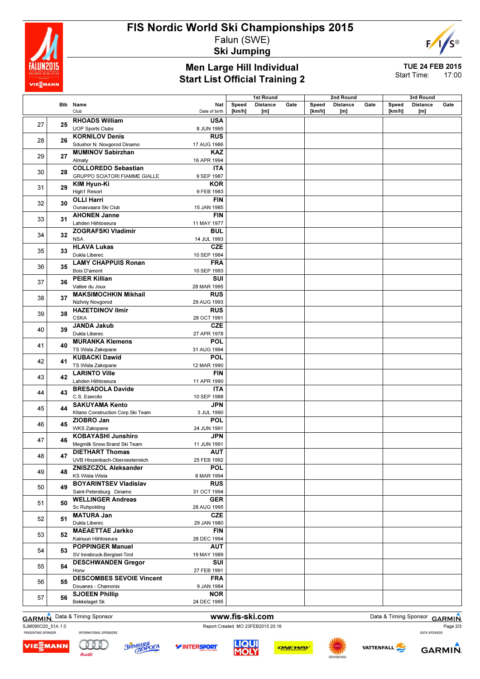

### FIS Nordic World Ski Championships 2015 Falun (SWE)

Ski Jumping

#### Men Large Hill Individual Start List Official Training 2

TUE 24 FEB 2015

Start Time: 17:00

E

|    |    |                                                               |                          |        | 1st Round       |      |        | 2nd Round       |      |        | 3rd Round       |      |
|----|----|---------------------------------------------------------------|--------------------------|--------|-----------------|------|--------|-----------------|------|--------|-----------------|------|
|    |    | Bib Name                                                      | Nat                      | Speed  | <b>Distance</b> | Gate | Speed  | <b>Distance</b> | Gate | Speed  | <b>Distance</b> | Gate |
|    |    | Club                                                          | Date of birth            | [km/h] | [m]             |      | [km/h] | [m]             |      | [km/h] | [m]             |      |
| 27 | 25 | <b>RHOADS William</b>                                         | <b>USA</b>               |        |                 |      |        |                 |      |        |                 |      |
|    |    | <b>UOP Sports Clubs</b>                                       | 8 JUN 1995               |        |                 |      |        |                 |      |        |                 |      |
| 28 | 26 | <b>KORNILOV Denis</b>                                         | <b>RUS</b>               |        |                 |      |        |                 |      |        |                 |      |
|    |    | Sdushor N. Novgorod Dinamo                                    | 17 AUG 1986              |        |                 |      |        |                 |      |        |                 |      |
| 29 | 27 | <b>MUMINOV Sabirzhan</b>                                      | <b>KAZ</b>               |        |                 |      |        |                 |      |        |                 |      |
|    |    | Almaty                                                        | 16 APR 1994              |        |                 |      |        |                 |      |        |                 |      |
| 30 | 28 | <b>COLLOREDO Sebastian</b>                                    | <b>ITA</b>               |        |                 |      |        |                 |      |        |                 |      |
|    |    | <b>GRUPPO SCIATORI FIAMME GIALLE</b>                          | 9 SEP 1987               |        |                 |      |        |                 |      |        |                 |      |
| 31 | 29 | KIM Hyun-Ki                                                   | KOR                      |        |                 |      |        |                 |      |        |                 |      |
|    |    | High1 Resort                                                  | 9 FEB 1983               |        |                 |      |        |                 |      |        |                 |      |
| 32 | 30 | <b>OLLI Harri</b>                                             | <b>FIN</b>               |        |                 |      |        |                 |      |        |                 |      |
|    |    | Ounasvaara Ski Club                                           | 15 JAN 1985              |        |                 |      |        |                 |      |        |                 |      |
| 33 | 31 | <b>AHONEN Janne</b>                                           | <b>FIN</b>               |        |                 |      |        |                 |      |        |                 |      |
|    |    | Lahden Hiihtoseura                                            | 11 MAY 1977              |        |                 |      |        |                 |      |        |                 |      |
| 34 | 32 | <b>ZOGRAFSKI Vladimir</b>                                     | <b>BUL</b>               |        |                 |      |        |                 |      |        |                 |      |
|    |    | <b>NSA</b>                                                    | 14 JUL 1993              |        |                 |      |        |                 |      |        |                 |      |
| 35 | 33 | <b>HLAVA Lukas</b>                                            | <b>CZE</b>               |        |                 |      |        |                 |      |        |                 |      |
|    |    | Dukla Liberec                                                 | 10 SEP 1984              |        |                 |      |        |                 |      |        |                 |      |
| 36 | 35 | <b>LAMY CHAPPUIS Ronan</b><br>Bois D'amont                    | <b>FRA</b>               |        |                 |      |        |                 |      |        |                 |      |
|    |    | <b>PEIER Killian</b>                                          | 10 SEP 1993<br>SUI       |        |                 |      |        |                 |      |        |                 |      |
| 37 | 36 | Vallee du Joux                                                | 28 MAR 1995              |        |                 |      |        |                 |      |        |                 |      |
|    |    | <b>MAKSIMOCHKIN Mikhail</b>                                   | <b>RUS</b>               |        |                 |      |        |                 |      |        |                 |      |
| 38 | 37 | Nizhniy Novgorod                                              | 29 AUG 1993              |        |                 |      |        |                 |      |        |                 |      |
|    |    | <b>HAZETDINOV Ilmir</b>                                       | <b>RUS</b>               |        |                 |      |        |                 |      |        |                 |      |
| 39 | 38 | <b>CSKA</b>                                                   | 28 OCT 1991              |        |                 |      |        |                 |      |        |                 |      |
|    |    | <b>JANDA Jakub</b>                                            | <b>CZE</b>               |        |                 |      |        |                 |      |        |                 |      |
| 40 | 39 | Dukla Liberec                                                 | 27 APR 1978              |        |                 |      |        |                 |      |        |                 |      |
| 41 | 40 | <b>MURANKA Klemens</b>                                        | <b>POL</b>               |        |                 |      |        |                 |      |        |                 |      |
|    |    | TS Wisla Zakopane                                             | 31 AUG 1994              |        |                 |      |        |                 |      |        |                 |      |
|    |    | <b>KUBACKI Dawid</b>                                          | <b>POL</b>               |        |                 |      |        |                 |      |        |                 |      |
| 42 | 41 | TS Wisla Zakopane                                             | 12 MAR 1990              |        |                 |      |        |                 |      |        |                 |      |
| 43 | 42 | <b>LARINTO Ville</b>                                          | <b>FIN</b>               |        |                 |      |        |                 |      |        |                 |      |
|    |    | Lahden Hiihtoseura                                            | 11 APR 1990              |        |                 |      |        |                 |      |        |                 |      |
| 44 | 43 | <b>BRESADOLA Davide</b>                                       | <b>ITA</b>               |        |                 |      |        |                 |      |        |                 |      |
|    |    | C.S. Esercito                                                 | 10 SEP 1988              |        |                 |      |        |                 |      |        |                 |      |
| 45 | 44 | <b>SAKUYAMA Kento</b>                                         | <b>JPN</b>               |        |                 |      |        |                 |      |        |                 |      |
|    |    | Kitano Construction Corp. Ski Team                            | 3 JUL 1990               |        |                 |      |        |                 |      |        |                 |      |
| 46 | 45 | ZIOBRO Jan                                                    | <b>POL</b>               |        |                 |      |        |                 |      |        |                 |      |
|    |    | <b>WKS Zakopane</b>                                           | 24 JUN 1991              |        |                 |      |        |                 |      |        |                 |      |
| 47 | 46 | <b>KOBAYASHI Junshiro</b>                                     | JPN                      |        |                 |      |        |                 |      |        |                 |      |
|    |    | Megmilk Snow Brand Ski Team                                   | 11 JUN 1991              |        |                 |      |        |                 |      |        |                 |      |
| 48 | 47 | <b>DIETHART Thomas</b>                                        | <b>AUT</b>               |        |                 |      |        |                 |      |        |                 |      |
|    |    | UVB Hinzenbach-Oberoesterreich<br><b>ZNISZCZOL Aleksander</b> | 25 FEB 1992              |        |                 |      |        |                 |      |        |                 |      |
| 49 | 48 | KS Wisla Wisla                                                | <b>POL</b><br>8 MAR 1994 |        |                 |      |        |                 |      |        |                 |      |
| 50 | 49 | <b>BOYARINTSEV Vladislav</b>                                  | <b>RUS</b>               |        |                 |      |        |                 |      |        |                 |      |
|    |    | Saint-Petersburg Dinamo                                       | 31 OCT 1994              |        |                 |      |        |                 |      |        |                 |      |
| 51 | 50 | <b>WELLINGER Andreas</b>                                      | <b>GER</b>               |        |                 |      |        |                 |      |        |                 |      |
|    |    | Sc Ruhpolding                                                 | 28 AUG 1995              |        |                 |      |        |                 |      |        |                 |      |
| 52 | 51 | <b>MATURA Jan</b>                                             | <b>CZE</b>               |        |                 |      |        |                 |      |        |                 |      |
|    |    | Dukla Liberec                                                 | 29 JAN 1980              |        |                 |      |        |                 |      |        |                 |      |
|    |    | <b>MAEAETTAE Jarkko</b>                                       | <b>FIN</b>               |        |                 |      |        |                 |      |        |                 |      |
| 53 | 52 | Kainuun Hiihtoseura                                           | 28 DEC 1994              |        |                 |      |        |                 |      |        |                 |      |
|    |    | <b>POPPINGER Manuel</b>                                       | AUT                      |        |                 |      |        |                 |      |        |                 |      |
| 54 | 53 | SV Innsbruck-Bergisel-Tirol                                   | 19 MAY 1989              |        |                 |      |        |                 |      |        |                 |      |
| 55 | 54 | <b>DESCHWANDEN Gregor</b>                                     | SUI                      |        |                 |      |        |                 |      |        |                 |      |
|    |    | Horw                                                          | 27 FEB 1991              |        |                 |      |        |                 |      |        |                 |      |
| 56 | 55 | <b>DESCOMBES SEVOIE Vincent</b>                               | <b>FRA</b>               |        |                 |      |        |                 |      |        |                 |      |
|    |    | Douanes - Chamonix                                            | 9 JAN 1984               |        |                 |      |        |                 |      |        |                 |      |
| 57 | 56 | <b>SJOEEN Phillip</b>                                         | <b>NOR</b>               |        |                 |      |        |                 |      |        |                 |      |
|    |    | <b>Bekkelaget Sk</b>                                          | 24 DEC 1995              |        |                 |      |        |                 |      |        |                 |      |

QID

Audi

**ЗЙМНЯЯ**<br>ДОРОГА

SJM090O20\_51A 1.0 **Report Created MO 23FEB2015 20:16** Report Created MO 23FEB2015 20:16

VIE<sub>E</sub>MANN

*V***INTERSPORT** 

**LIQUI**<br>**MOLY** 

GARMIN. Data & Timing Sponsor **www.fis-ski.com** Data & Timing Sponsor GARMIN. Page 2/3

**VATTENFALL** 



ONEWAY